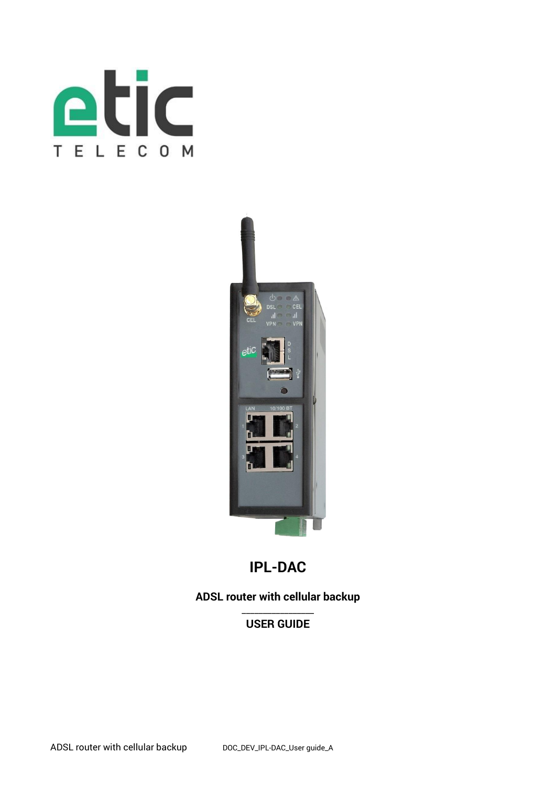



# **IPL-DAC**

**ADSL router with cellular backup**

\_\_\_\_\_\_\_\_\_\_\_\_\_\_\_\_\_ **USER GUIDE**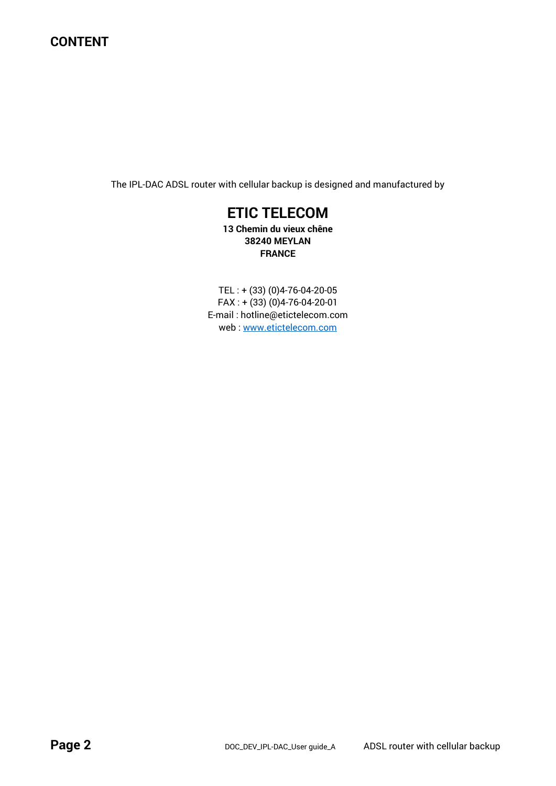## **CONTENT**

The IPL-DAC ADSL router with cellular backup is designed and manufactured by

# **ETIC TELECOM**

**13 Chemin du vieux chêne 38240 MEYLAN FRANCE**

TEL : + (33) (0)4-76-04-20-05 FAX : + (33) (0)4-76-04-20-01 E-mail : hotline@etictelecom.com web : [www.etictelecom.com](http://www.etictelecom.com/)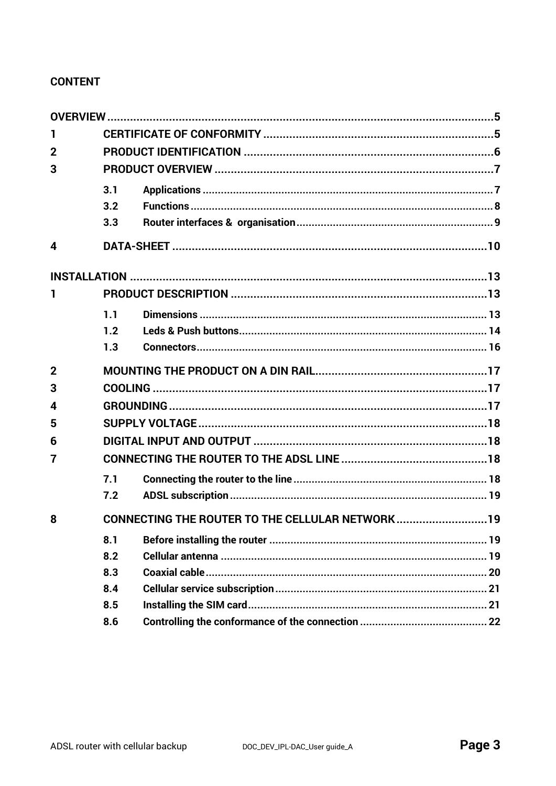### **CONTENT**

| 1              |     |                                                 |  |  |
|----------------|-----|-------------------------------------------------|--|--|
| $\mathbf 2$    |     |                                                 |  |  |
| 3              |     |                                                 |  |  |
|                | 3.1 |                                                 |  |  |
|                | 3.2 |                                                 |  |  |
|                | 3.3 |                                                 |  |  |
| 4              |     | DATA-SHEET ………………………………………………………………………………………10  |  |  |
|                |     |                                                 |  |  |
| 1              |     |                                                 |  |  |
|                | 1.1 |                                                 |  |  |
|                | 1.2 |                                                 |  |  |
|                | 1.3 |                                                 |  |  |
| $\overline{2}$ |     |                                                 |  |  |
| 3              |     |                                                 |  |  |
| 4              |     |                                                 |  |  |
| 5              |     |                                                 |  |  |
| 6              |     |                                                 |  |  |
| 7              |     |                                                 |  |  |
|                | 7.1 |                                                 |  |  |
|                | 7.2 |                                                 |  |  |
| 8              |     | CONNECTING THE ROUTER TO THE CELLULAR NETWORK19 |  |  |
|                | 8.1 |                                                 |  |  |
|                | 8.2 |                                                 |  |  |
|                | 8.3 |                                                 |  |  |
|                | 8.4 |                                                 |  |  |
|                | 8.5 |                                                 |  |  |
|                | 8.6 |                                                 |  |  |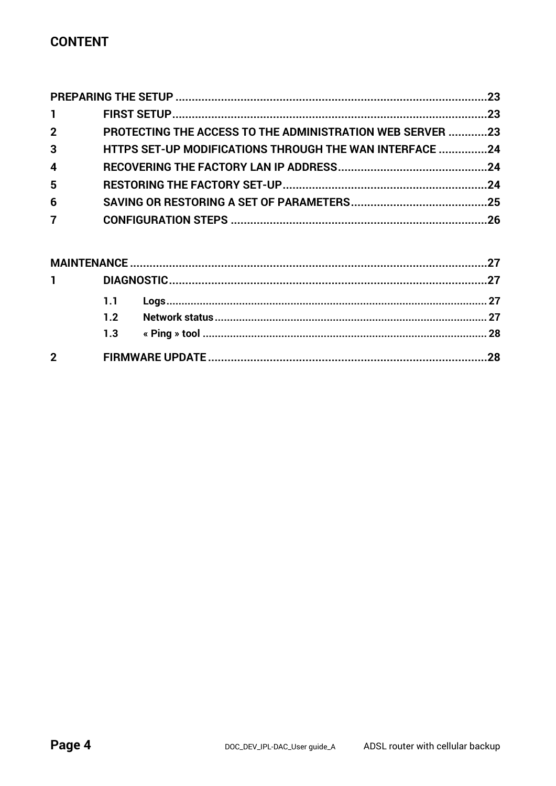## **CONTENT**

| $\mathbf{1}$            |                                                                  |  |
|-------------------------|------------------------------------------------------------------|--|
| $2^{\circ}$             | <b>PROTECTING THE ACCESS TO THE ADMINISTRATION WEB SERVER 23</b> |  |
| $\mathbf{3}$            | HTTPS SET-UP MODIFICATIONS THROUGH THE WAN INTERFACE 24          |  |
| $\overline{\mathbf{4}}$ |                                                                  |  |
| 5                       |                                                                  |  |
| 6                       |                                                                  |  |
| $\overline{7}$          |                                                                  |  |

|   | 1.1 |  |    |
|---|-----|--|----|
|   | 12  |  |    |
|   | 1.3 |  |    |
| 2 |     |  | 28 |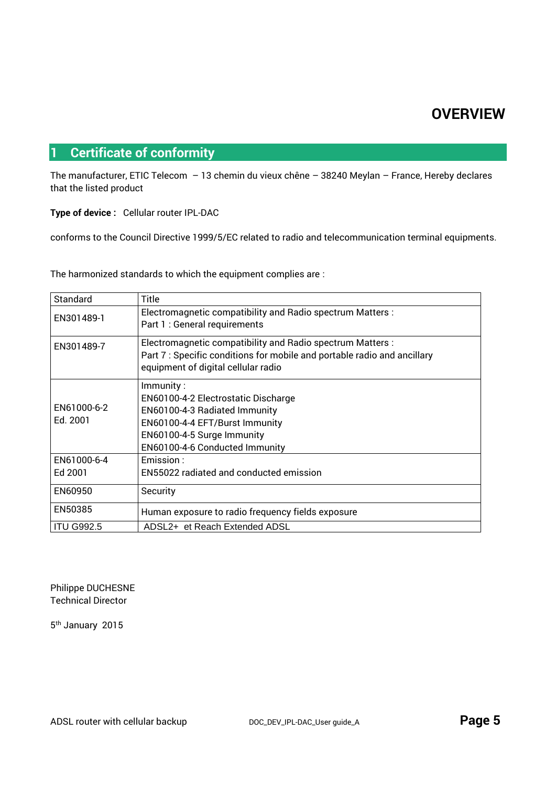# <span id="page-4-1"></span><span id="page-4-0"></span>**1 Certificate of conformity**

The manufacturer, ETIC Telecom – 13 chemin du vieux chêne – 38240 Meylan – France, Hereby declares that the listed product

**Type of device :** Cellular router IPL-DAC

conforms to the Council Directive 1999/5/EC related to radio and telecommunication terminal equipments.

The harmonized standards to which the equipment complies are :

| Standard                                                                                                                                                                                    | Title                                                                                                                                                                               |  |
|---------------------------------------------------------------------------------------------------------------------------------------------------------------------------------------------|-------------------------------------------------------------------------------------------------------------------------------------------------------------------------------------|--|
| EN301489-1                                                                                                                                                                                  | Electromagnetic compatibility and Radio spectrum Matters :<br>Part 1 : General requirements                                                                                         |  |
| Electromagnetic compatibility and Radio spectrum Matters :<br>EN301489-7<br>Part 7 : Specific conditions for mobile and portable radio and ancillary<br>equipment of digital cellular radio |                                                                                                                                                                                     |  |
| EN61000-6-2<br>Ed. 2001                                                                                                                                                                     | Immunity:<br>EN60100-4-2 Electrostatic Discharge<br>EN60100-4-3 Radiated Immunity<br>EN60100-4-4 EFT/Burst Immunity<br>EN60100-4-5 Surge Immunity<br>EN60100-4-6 Conducted Immunity |  |
| EN61000-6-4                                                                                                                                                                                 | Emission :                                                                                                                                                                          |  |
| Ed 2001                                                                                                                                                                                     | <b>EN55022 radiated and conducted emission</b>                                                                                                                                      |  |
| EN60950                                                                                                                                                                                     | Security                                                                                                                                                                            |  |
| EN50385                                                                                                                                                                                     | Human exposure to radio frequency fields exposure                                                                                                                                   |  |
| <b>ITU G992.5</b>                                                                                                                                                                           | ADSL2+ et Reach Extended ADSL                                                                                                                                                       |  |

Philippe DUCHESNE Technical Director

5<sup>th</sup> January 2015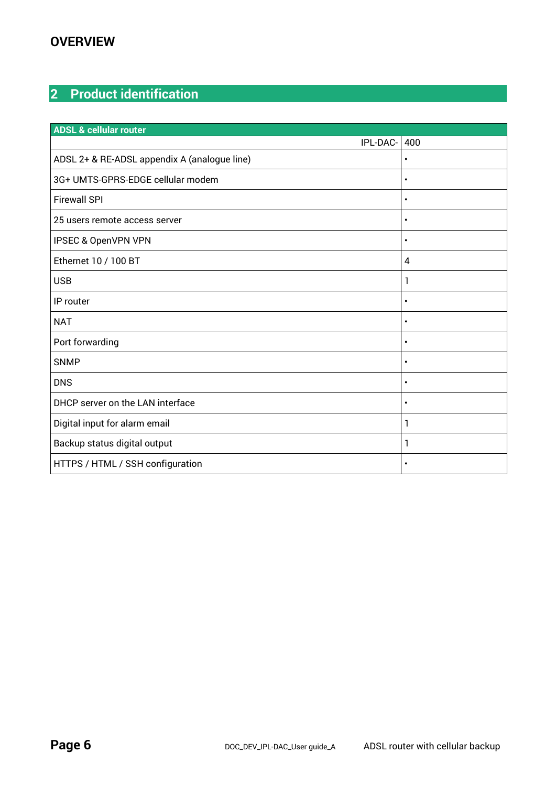# <span id="page-5-0"></span>**2 Product identification**

| <b>ADSL &amp; cellular router</b>            |           |
|----------------------------------------------|-----------|
| IPL-DAC-                                     | 400       |
| ADSL 2+ & RE-ADSL appendix A (analogue line) | $\bullet$ |
| 3G+ UMTS-GPRS-EDGE cellular modem            | $\bullet$ |
| <b>Firewall SPI</b>                          | $\bullet$ |
| 25 users remote access server                | $\bullet$ |
| IPSEC & OpenVPN VPN                          | $\bullet$ |
| Ethernet 10 / 100 BT                         | 4         |
| <b>USB</b>                                   | 1         |
| IP router                                    | $\bullet$ |
| <b>NAT</b>                                   | $\bullet$ |
| Port forwarding                              | $\bullet$ |
| <b>SNMP</b>                                  | $\bullet$ |
| <b>DNS</b>                                   | $\bullet$ |
| DHCP server on the LAN interface             | $\bullet$ |
| Digital input for alarm email                | 1         |
| Backup status digital output                 | 1         |
| HTTPS / HTML / SSH configuration             | $\bullet$ |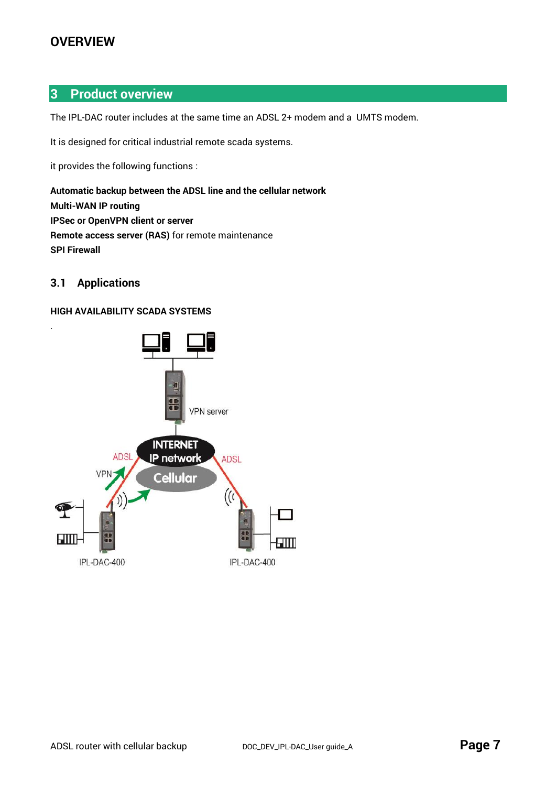### <span id="page-6-0"></span>**3 Product overview**

The IPL-DAC router includes at the same time an ADSL 2+ modem and a UMTS modem.

It is designed for critical industrial remote scada systems.

it provides the following functions :

**Automatic backup between the ADSL line and the cellular network Multi-WAN IP routing IPSec or OpenVPN client or server Remote access server (RAS)** for remote maintenance **SPI Firewall**

### <span id="page-6-1"></span>**3.1 Applications**

#### **HIGH AVAILABILITY SCADA SYSTEMS**

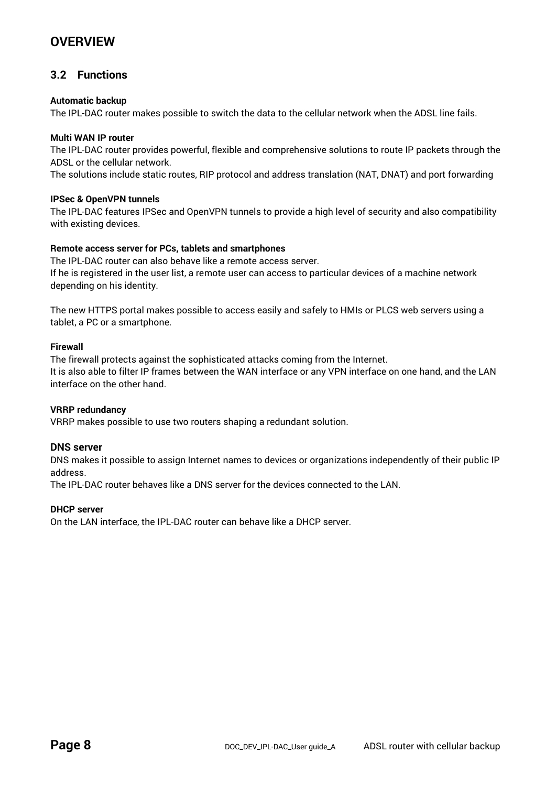### <span id="page-7-0"></span>**3.2 Functions**

#### **Automatic backup**

The IPL-DAC router makes possible to switch the data to the cellular network when the ADSL line fails.

#### **Multi WAN IP router**

The IPL-DAC router provides powerful, flexible and comprehensive solutions to route IP packets through the ADSL or the cellular network.

The solutions include static routes, RIP protocol and address translation (NAT, DNAT) and port forwarding

#### **IPSec & OpenVPN tunnels**

The IPL-DAC features IPSec and OpenVPN tunnels to provide a high level of security and also compatibility with existing devices.

#### **Remote access server for PCs, tablets and smartphones**

The IPL-DAC router can also behave like a remote access server. If he is registered in the user list, a remote user can access to particular devices of a machine network depending on his identity.

The new HTTPS portal makes possible to access easily and safely to HMIs or PLCS web servers using a tablet, a PC or a smartphone.

#### **Firewall**

The firewall protects against the sophisticated attacks coming from the Internet. It is also able to filter IP frames between the WAN interface or any VPN interface on one hand, and the LAN interface on the other hand.

#### **VRRP redundancy**

VRRP makes possible to use two routers shaping a redundant solution.

#### **DNS server**

DNS makes it possible to assign Internet names to devices or organizations independently of their public IP address.

The IPL-DAC router behaves like a DNS server for the devices connected to the LAN.

#### **DHCP server**

On the LAN interface, the IPL-DAC router can behave like a DHCP server.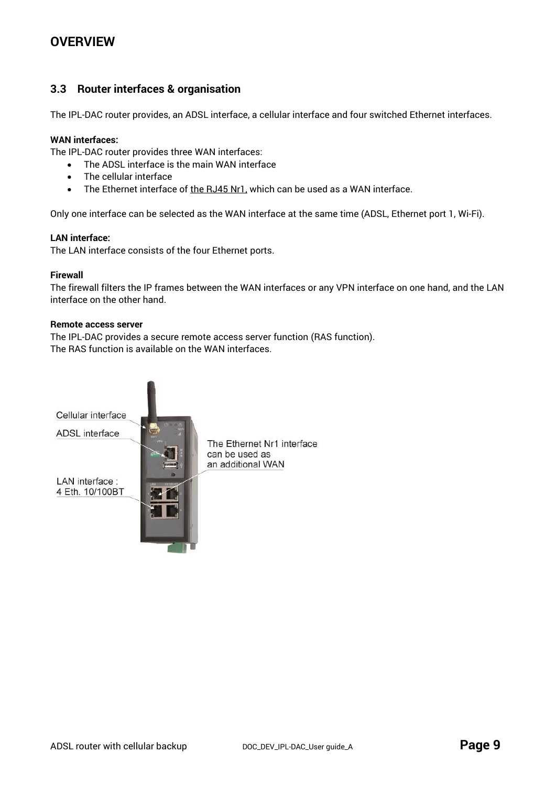### <span id="page-8-0"></span>**3.3 Router interfaces & organisation**

The IPL-DAC router provides, an ADSL interface, a cellular interface and four switched Ethernet interfaces.

#### **WAN interfaces:**

The IPL-DAC router provides three WAN interfaces:

- The ADSL interface is the main WAN interface
- The cellular interface
- The Ethernet interface of the RJ45 Nr1, which can be used as a WAN interface.

Only one interface can be selected as the WAN interface at the same time (ADSL, Ethernet port 1, Wi-Fi).

#### **LAN interface:**

The LAN interface consists of the four Ethernet ports.

#### **Firewall**

The firewall filters the IP frames between the WAN interfaces or any VPN interface on one hand, and the LAN interface on the other hand.

#### **Remote access server**

The IPL-DAC provides a secure remote access server function (RAS function). The RAS function is available on the WAN interfaces.



The Ethernet Nr1 interface an additional WAN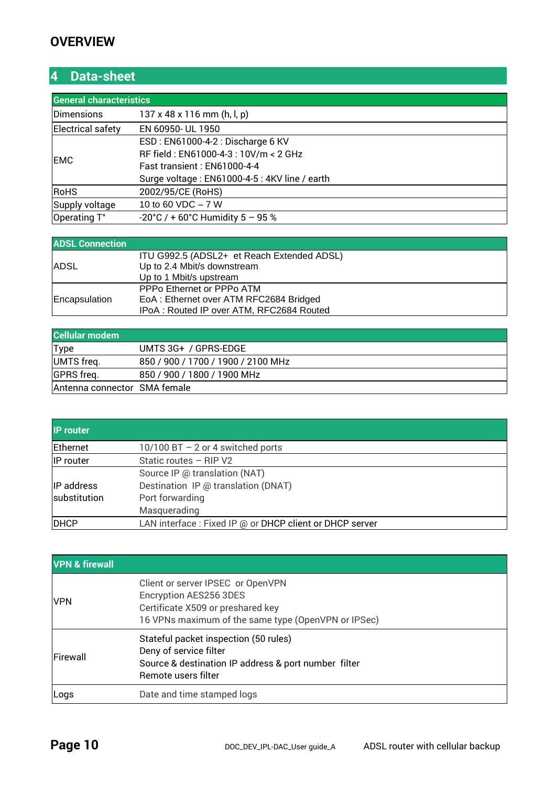## <span id="page-9-0"></span>**4 Data-sheet**

| <b>General characteristics</b>                   |                                              |  |  |
|--------------------------------------------------|----------------------------------------------|--|--|
| Dimensions                                       | 137 x 48 x 116 mm (h, l, p)                  |  |  |
| <b>Electrical safety</b>                         | EN 60950- UL 1950                            |  |  |
|                                                  | ESD: EN61000-4-2: Discharge 6 KV             |  |  |
| <b>EMC</b>                                       | RF field: EN61000-4-3: 10V/m < 2 GHz         |  |  |
|                                                  | Fast transient : EN61000-4-4                 |  |  |
|                                                  | Surge voltage: EN61000-4-5: 4KV line / earth |  |  |
| <b>RoHS</b>                                      | 2002/95/CE (RoHS)                            |  |  |
| Supply voltage                                   | 10 to 60 VDC - 7 W                           |  |  |
| Operating T°<br>-20°C / + 60°C Humidity 5 - 95 % |                                              |  |  |

| <b>ADSL Connection</b> |                                            |  |
|------------------------|--------------------------------------------|--|
|                        | ITU G992.5 (ADSL2+ et Reach Extended ADSL) |  |
| <b>ADSL</b>            | Up to 2.4 Mbit/s downstream                |  |
|                        | Up to 1 Mbit/s upstream                    |  |
|                        | PPPo Ethernet or PPPo ATM                  |  |
| Encapsulation          | EoA: Ethernet over ATM RFC2684 Bridged     |  |
|                        | IPoA: Routed IP over ATM, RFC2684 Routed   |  |

| <b>Cellular modem</b>        |                                    |
|------------------------------|------------------------------------|
| <b>Type</b>                  | UMTS 3G+ / GPRS-EDGE               |
| UMTS freq.                   | 850 / 900 / 1700 / 1900 / 2100 MHz |
| GPRS freq.                   | 850 / 900 / 1800 / 1900 MHz        |
| Antenna connector SMA female |                                    |

| <b>IP</b> router  |                                                          |  |  |
|-------------------|----------------------------------------------------------|--|--|
| Ethernet          | $10/100$ BT $-2$ or 4 switched ports                     |  |  |
| IP router         | Static routes - RIP V2                                   |  |  |
|                   | Source IP @ translation (NAT)                            |  |  |
| <b>IP</b> address | Destination IP @ translation (DNAT)                      |  |  |
| substitution      | Port forwarding                                          |  |  |
|                   | Masquerading                                             |  |  |
| DHCP              | LAN interface : Fixed IP @ or DHCP client or DHCP server |  |  |

| <b>VPN &amp; firewall</b> |                                                                                                                                                         |
|---------------------------|---------------------------------------------------------------------------------------------------------------------------------------------------------|
| <b>VPN</b>                | Client or server IPSEC or OpenVPN<br>Encryption AES256 3DES<br>Certificate X509 or preshared key<br>16 VPNs maximum of the same type (OpenVPN or IPSec) |
| Firewall                  | Stateful packet inspection (50 rules)<br>Deny of service filter<br>Source & destination IP address & port number filter<br>Remote users filter          |
| Logs                      | Date and time stamped logs                                                                                                                              |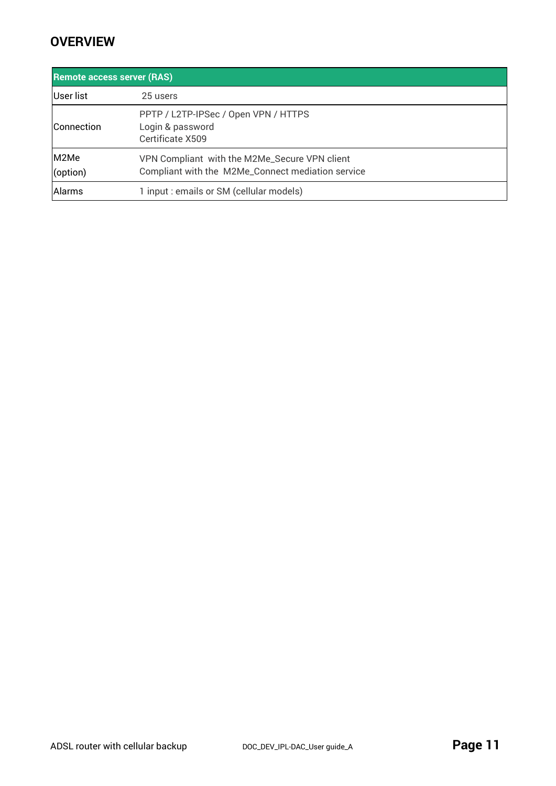| <b>Remote access server (RAS)</b> |                                                                                                    |  |
|-----------------------------------|----------------------------------------------------------------------------------------------------|--|
| User list                         | 25 users                                                                                           |  |
| Connection                        | PPTP / L2TP-IPSec / Open VPN / HTTPS<br>Login & password<br>Certificate X509                       |  |
| M2Me<br>(option)                  | VPN Compliant with the M2Me_Secure VPN client<br>Compliant with the M2Me_Connect mediation service |  |
| Alarms                            | 1 input : emails or SM (cellular models)                                                           |  |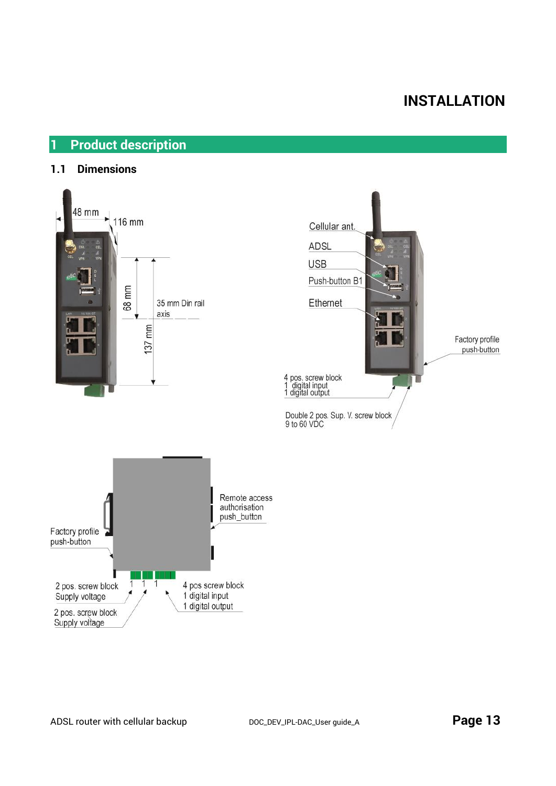## <span id="page-12-1"></span><span id="page-12-0"></span>**1 Product description**

### <span id="page-12-2"></span>**1.1 Dimensions**

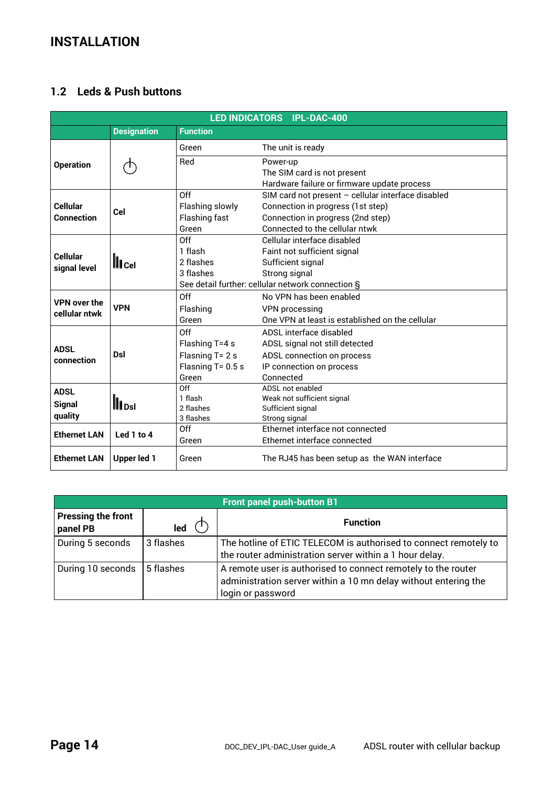### <span id="page-13-0"></span>**1.2 Leds & Push buttons**

| <b>LED INDICATORS IPL-DAC-400</b> |                                      |                      |                                                    |  |
|-----------------------------------|--------------------------------------|----------------------|----------------------------------------------------|--|
|                                   | <b>Designation</b>                   | <b>Function</b>      |                                                    |  |
|                                   |                                      | Green                | The unit is ready                                  |  |
| <b>Operation</b>                  |                                      | Red                  | Power-up                                           |  |
|                                   |                                      |                      | The SIM card is not present                        |  |
|                                   |                                      |                      | Hardware failure or firmware update process        |  |
|                                   |                                      | Off                  | SIM card not present - cellular interface disabled |  |
| <b>Cellular</b>                   | Cel                                  | Flashing slowly      | Connection in progress (1st step)                  |  |
| <b>Connection</b>                 |                                      | Flashing fast        | Connection in progress (2nd step)                  |  |
|                                   |                                      | Green                | Connected to the cellular ntwk                     |  |
|                                   |                                      | Off                  | Cellular interface disabled                        |  |
| <b>Cellular</b>                   |                                      | 1 flash              | Faint not sufficient signal                        |  |
|                                   | $\mathbf{\Pi}_{\operatorname{Cell}}$ | 2 flashes            | Sufficient signal                                  |  |
| signal level                      |                                      | 3 flashes            | Strong signal                                      |  |
|                                   |                                      |                      | See detail further: cellular network connection §  |  |
| <b>VPN</b> over the               | <b>VPN</b>                           | Off                  | No VPN has been enabled                            |  |
| cellular ntwk                     |                                      | Flashing             | VPN processing                                     |  |
|                                   |                                      | Green                | One VPN at least is established on the cellular    |  |
|                                   | <b>Dsl</b>                           | Off                  | ADSL interface disabled                            |  |
|                                   |                                      | Flashing T=4 s       | ADSL signal not still detected                     |  |
| <b>ADSL</b>                       |                                      | Flasning T= 2 s      | ADSL connection on process                         |  |
| connection                        |                                      | Flasning $T = 0.5$ s | IP connection on process                           |  |
|                                   |                                      | Green                | Connected                                          |  |
| <b>ADSL</b>                       |                                      | Off                  | ADSL not enabled                                   |  |
|                                   | <b>III</b> DsI                       | 1 flash              | Weak not sufficient signal                         |  |
| <b>Signal</b>                     |                                      | 2 flashes            | Sufficient signal                                  |  |
| quality                           |                                      | 3 flashes            | Strong signal                                      |  |
| <b>Ethernet LAN</b>               | Led 1 to 4                           | Off                  | Ethernet interface not connected                   |  |
|                                   |                                      | Green                | Ethernet interface connected                       |  |
| <b>Ethernet LAN</b>               | Upper led 1                          | Green                | The RJ45 has been setup as the WAN interface       |  |

| <b>Front panel push-button B1</b>     |           |                                                                                                                                                       |
|---------------------------------------|-----------|-------------------------------------------------------------------------------------------------------------------------------------------------------|
| <b>Pressing the front</b><br>panel PB | led       | <b>Function</b>                                                                                                                                       |
| During 5 seconds                      | 3 flashes | The hotline of ETIC TELECOM is authorised to connect remotely to<br>the router administration server within a 1 hour delay.                           |
| During 10 seconds                     | 5 flashes | A remote user is authorised to connect remotely to the router<br>administration server within a 10 mn delay without entering the<br>login or password |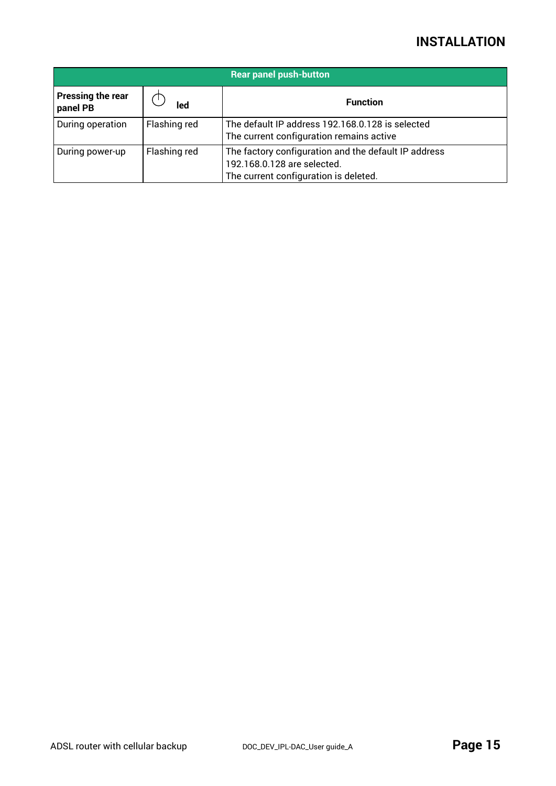| <b>Rear panel push-button</b>        |              |                                                                                                                              |
|--------------------------------------|--------------|------------------------------------------------------------------------------------------------------------------------------|
| <b>Pressing the rear</b><br>panel PB | led          | <b>Function</b>                                                                                                              |
| During operation                     | Flashing red | The default IP address 192.168.0.128 is selected<br>The current configuration remains active                                 |
| During power-up                      | Flashing red | The factory configuration and the default IP address<br>192.168.0.128 are selected.<br>The current configuration is deleted. |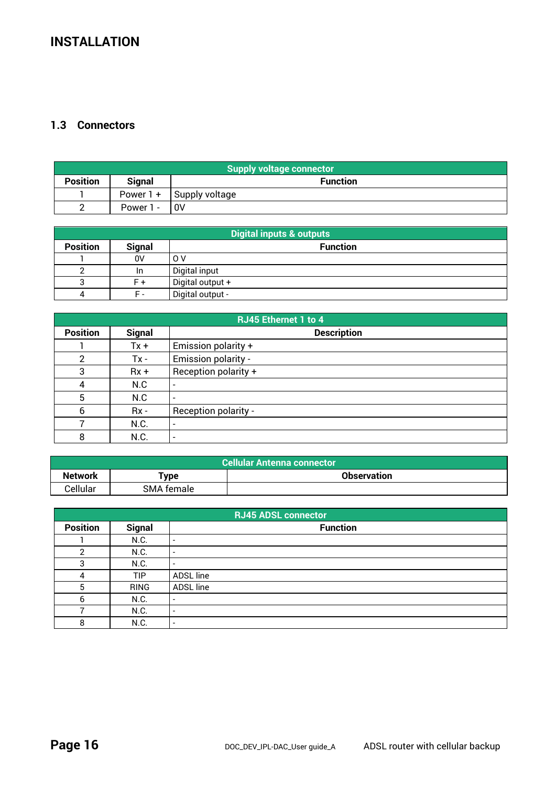### <span id="page-15-0"></span>**1.3 Connectors**

| <b>Supply voltage connector</b> |               |                 |  |
|---------------------------------|---------------|-----------------|--|
| <b>Position</b>                 | <b>Signal</b> | <b>Function</b> |  |
|                                 | Power 1 +     | Supply voltage  |  |
| ⌒                               | Power 1 -     | 0V              |  |

| <b>Digital inputs &amp; outputs</b> |               |                  |  |
|-------------------------------------|---------------|------------------|--|
| <b>Position</b>                     | <b>Signal</b> | <b>Function</b>  |  |
|                                     | 0V            | 0 V              |  |
| ◠                                   | In.           | Digital input    |  |
| ≏                                   | F+            | Digital output + |  |
| 4                                   | F -           | Digital output - |  |

| RJ45 Ethernet 1 to 4 |               |                      |
|----------------------|---------------|----------------------|
| <b>Position</b>      | <b>Signal</b> | <b>Description</b>   |
|                      | $Tx +$        | Emission polarity +  |
| 2                    | $Tx -$        | Emission polarity -  |
| 3                    | $Rx +$        | Reception polarity + |
| 4                    | N.C           |                      |
| 5                    | N.C           |                      |
| 6                    | $Rx -$        | Reception polarity - |
|                      | N.C.          |                      |
| 8                    | N.C.          |                      |

| Cellular Antenna connector |                   |                    |
|----------------------------|-------------------|--------------------|
| <b>Network</b>             | Type              | <b>Observation</b> |
| Cellular                   | <b>SMA female</b> |                    |

| <b>RJ45 ADSL connector</b> |               |                  |
|----------------------------|---------------|------------------|
| <b>Position</b>            | <b>Signal</b> | <b>Function</b>  |
|                            | N.C.          |                  |
| 2                          | N.C.          |                  |
| 3                          | N.C.          |                  |
| 4                          | <b>TIP</b>    | ADSL line        |
| 5                          | <b>RING</b>   | <b>ADSL</b> line |
| 6                          | N.C.          |                  |
|                            | N.C.          |                  |
| 8                          | N.C.          |                  |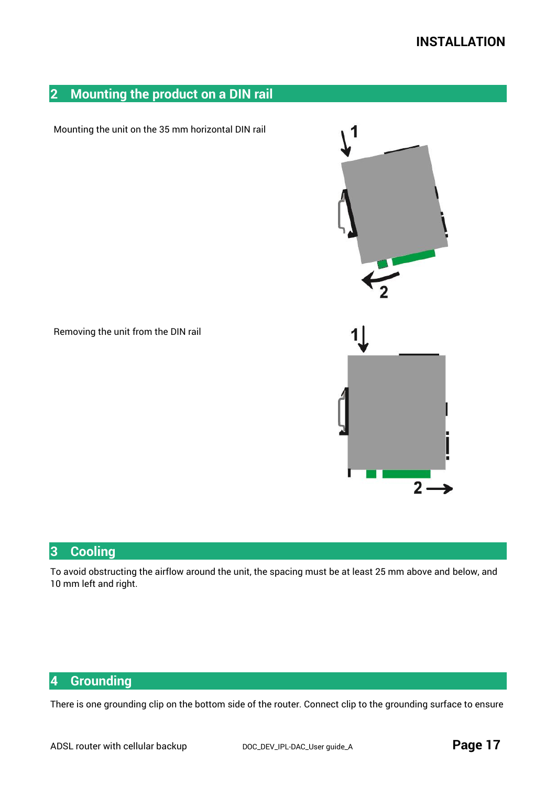# <span id="page-16-0"></span>**2 Mounting the product on a DIN rail**

Mounting the unit on the 35 mm horizontal DIN rail 1 Removing the unit from the DIN rail

## <span id="page-16-1"></span>**3 Cooling**

To avoid obstructing the airflow around the unit, the spacing must be at least 25 mm above and below, and 10 mm left and right.

## <span id="page-16-2"></span>**4 Grounding**

There is one grounding clip on the bottom side of the router. Connect clip to the grounding surface to ensure

 $\overline{2}$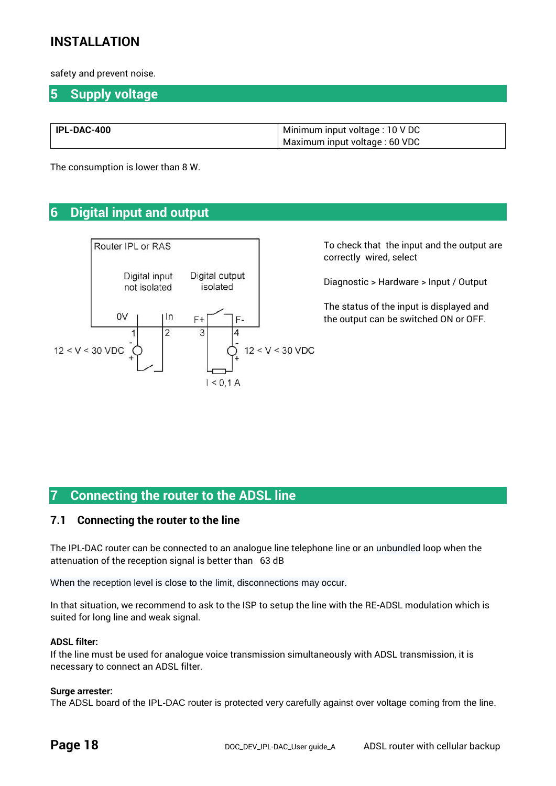safety and prevent noise.

### <span id="page-17-0"></span>**5 Supply voltage**

| IPL-DAC-400 | Minimum input voltage: 10 V DC |
|-------------|--------------------------------|
|             | Maximum input voltage : 60 VDC |

The consumption is lower than 8 W.

### <span id="page-17-1"></span>**6 Digital input and output**



To check that the input and the output are correctly wired, select

Diagnostic > Hardware > Input / Output

The status of the input is displayed and the output can be switched ON or OFF.

### <span id="page-17-2"></span>**7 Connecting the router to the ADSL line**

#### <span id="page-17-3"></span>**7.1 Connecting the router to the line**

The IPL-DAC router can be connected to an analogue line telephone line or an unbundled loop when the attenuation of the reception signal is better than 63 dB

When the reception level is close to the limit, disconnections may occur.

In that situation, we recommend to ask to the ISP to setup the line with the RE-ADSL modulation which is suited for long line and weak signal.

#### **ADSL filter:**

If the line must be used for analogue voice transmission simultaneously with ADSL transmission, it is necessary to connect an ADSL filter.

#### **Surge arrester:**

The ADSL board of the IPL-DAC router is protected very carefully against over voltage coming from the line.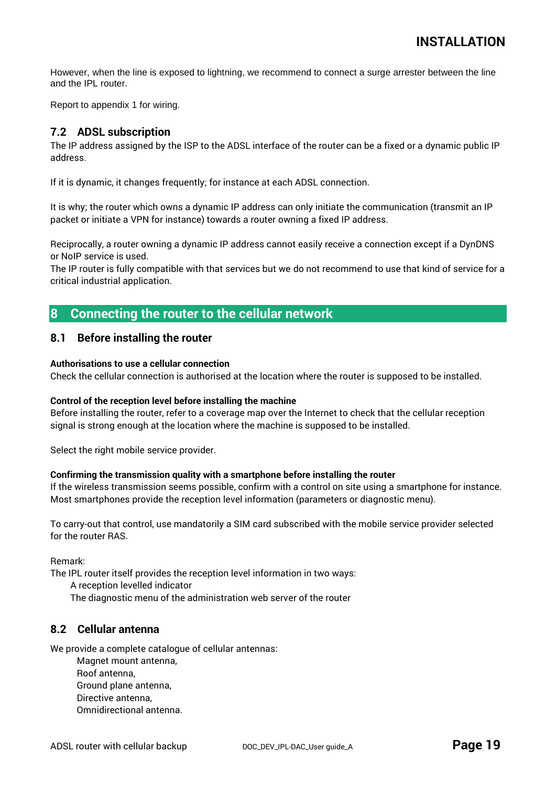However, when the line is exposed to lightning, we recommend to connect a surge arrester between the line and the IPL router.

Report to appendix 1 for wiring.

### <span id="page-18-0"></span>**7.2 ADSL subscription**

The IP address assigned by the ISP to the ADSL interface of the router can be a fixed or a dynamic public IP address.

If it is dynamic, it changes frequently; for instance at each ADSL connection.

It is why; the router which owns a dynamic IP address can only initiate the communication (transmit an IP packet or initiate a VPN for instance) towards a router owning a fixed IP address.

Reciprocally, a router owning a dynamic IP address cannot easily receive a connection except if a DynDNS or NoIP service is used.

The IP router is fully compatible with that services but we do not recommend to use that kind of service for a critical industrial application.

# <span id="page-18-1"></span>**8 Connecting the router to the cellular network**

#### <span id="page-18-2"></span>**8.1 Before installing the router**

#### **Authorisations to use a cellular connection**

Check the cellular connection is authorised at the location where the router is supposed to be installed.

#### **Control of the reception level before installing the machine**

Before installing the router, refer to a coverage map over the Internet to check that the cellular reception signal is strong enough at the location where the machine is supposed to be installed.

Select the right mobile service provider.

#### **Confirming the transmission quality with a smartphone before installing the router**

If the wireless transmission seems possible, confirm with a control on site using a smartphone for instance. Most smartphones provide the reception level information (parameters or diagnostic menu).

To carry-out that control, use mandatorily a SIM card subscribed with the mobile service provider selected for the router RAS.

Remark:

The IPL router itself provides the reception level information in two ways:

A reception levelled indicator

The diagnostic menu of the administration web server of the router

#### <span id="page-18-3"></span>**8.2 Cellular antenna**

We provide a complete catalogue of cellular antennas:

Magnet mount antenna, Roof antenna, Ground plane antenna, Directive antenna, Omnidirectional antenna.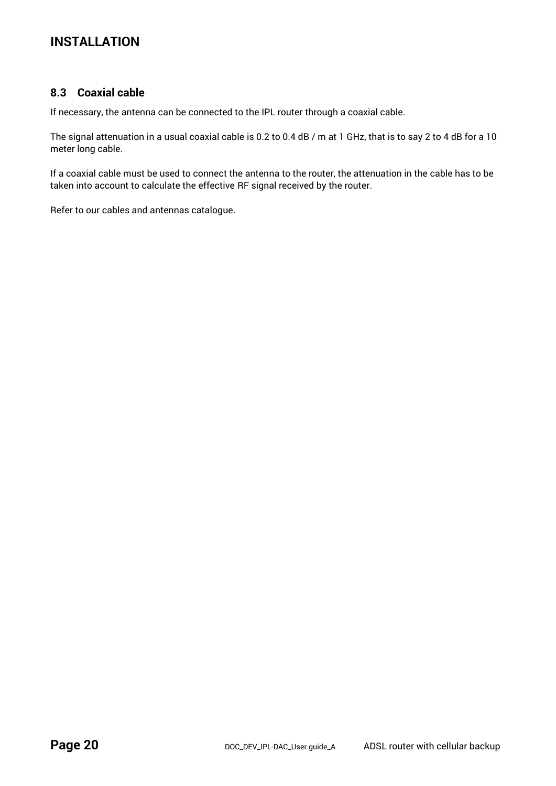### <span id="page-19-0"></span>**8.3 Coaxial cable**

If necessary, the antenna can be connected to the IPL router through a coaxial cable.

The signal attenuation in a usual coaxial cable is 0.2 to 0.4 dB / m at 1 GHz, that is to say 2 to 4 dB for a 10 meter long cable.

If a coaxial cable must be used to connect the antenna to the router, the attenuation in the cable has to be taken into account to calculate the effective RF signal received by the router.

Refer to our cables and antennas catalogue.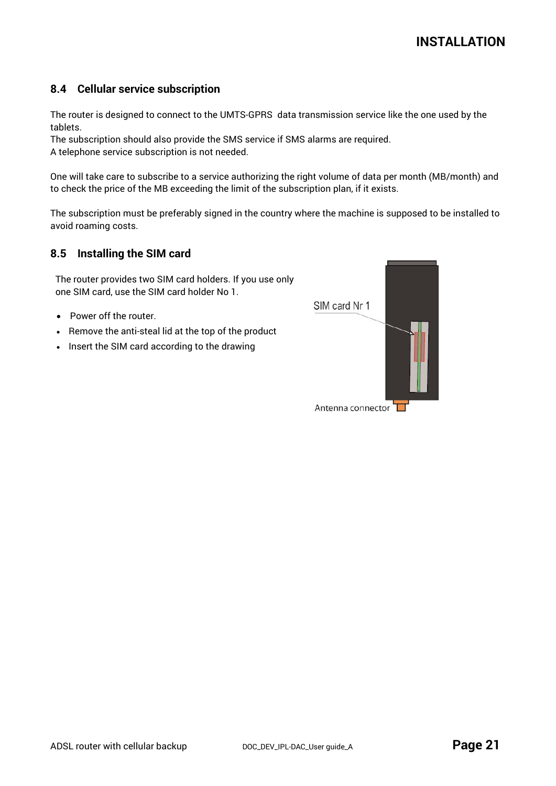### <span id="page-20-0"></span>**8.4 Cellular service subscription**

The router is designed to connect to the UMTS-GPRS data transmission service like the one used by the tablets.

The subscription should also provide the SMS service if SMS alarms are required.

A telephone service subscription is not needed.

One will take care to subscribe to a service authorizing the right volume of data per month (MB/month) and to check the price of the MB exceeding the limit of the subscription plan, if it exists.

The subscription must be preferably signed in the country where the machine is supposed to be installed to avoid roaming costs.

### <span id="page-20-1"></span>**8.5 Installing the SIM card**

The router provides two SIM card holders. If you use only one SIM card, use the SIM card holder No 1.

- Power off the router.
- Remove the anti-steal lid at the top of the product
- Insert the SIM card according to the drawing



Antenna connector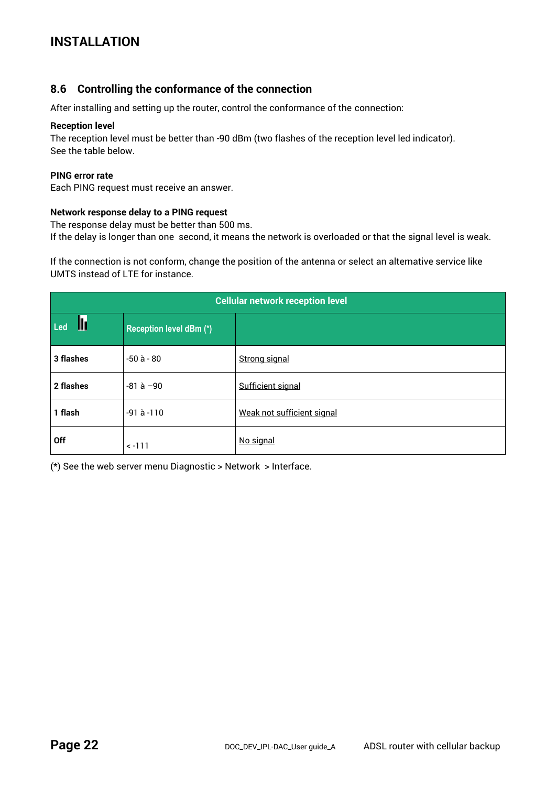### <span id="page-21-0"></span>**8.6 Controlling the conformance of the connection**

After installing and setting up the router, control the conformance of the connection:

#### **Reception level**

The reception level must be better than -90 dBm (two flashes of the reception level led indicator). See the table below.

#### **PING error rate**

Each PING request must receive an answer.

#### **Network response delay to a PING request**

The response delay must be better than 500 ms.

If the delay is longer than one second, it means the network is overloaded or that the signal level is weak.

If the connection is not conform, change the position of the antenna or select an alternative service like UMTS instead of LTE for instance.

| <b>Cellular network reception level</b> |                         |                            |
|-----------------------------------------|-------------------------|----------------------------|
| Led                                     | Reception level dBm (*) |                            |
| 3 flashes                               | -50 à - 80              | <b>Strong signal</b>       |
| 2 flashes                               | $-81$ à $-90$           | Sufficient signal          |
| 1 flash                                 | $-91$ à $-110$          | Weak not sufficient signal |
| <b>Off</b>                              | $< -111$                | No signal                  |

(\*) See the web server menu Diagnostic > Network > Interface.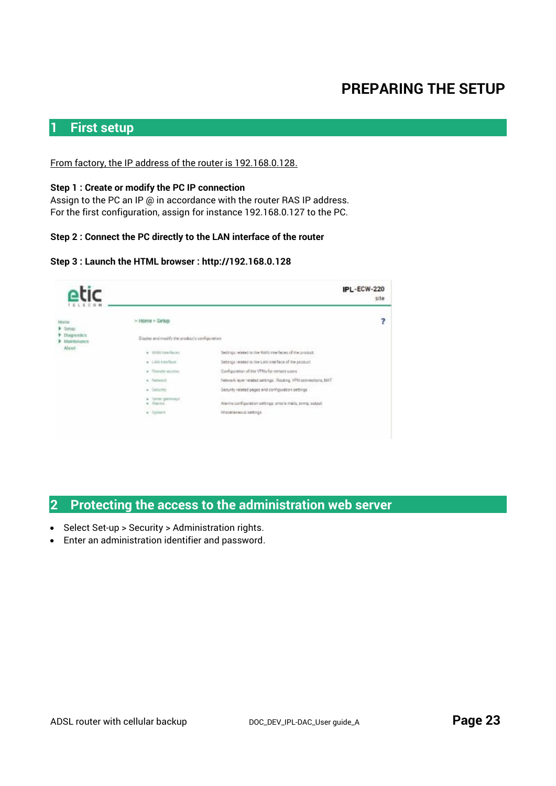# **PREPARING THE SETUP**

### <span id="page-22-1"></span><span id="page-22-0"></span>**1 First setup**

From factory, the IP address of the router is 192.168.0.128.

#### **Step 1 : Create or modify the PC IP connection**

Assign to the PC an IP @ in accordance with the router RAS IP address. For the first configuration, assign for instance 192.168.0.127 to the PC.

#### **Step 2 : Connect the PC directly to the LAN interface of the router**

#### **Step 3 : Launch the HTML browser : http://192.168.0.128**

| etic<br>TELECOM               |                                                |                                                               | <b>IPL-ECW-220</b><br>site |
|-------------------------------|------------------------------------------------|---------------------------------------------------------------|----------------------------|
| Home <sup>-</sup><br>> Setup: | > Home > Setup                                 |                                                               | 7                          |
| Diagnostics.<br>Maintenance   | Disably and modify the product's configuration |                                                               |                            |
| About                         | w Williamschere.                               | Settings related to the WAN interfaces of the product.        |                            |
|                               | · CAN restaur-                                 | Settings retated to the LAN interface of the product          |                            |
|                               | · Femote access                                | Carefiguration of the VPNs for remote users.                  |                            |
|                               | w. Network                                     | Network layer related settings: Routing, VPN connections, NAT |                            |
|                               | · Senaty                                       | Security related pages and configuration settings             |                            |
|                               | · Term permiset<br>$-$ <i>Rains</i>            | Alarms configuration settings: ensite mails, simp, extput     |                            |
|                               | · System                                       | Miscellaneous pertings                                        |                            |

### <span id="page-22-2"></span>**2 Protecting the access to the administration web server**

- Select Set-up > Security > Administration rights.
- Enter an administration identifier and password.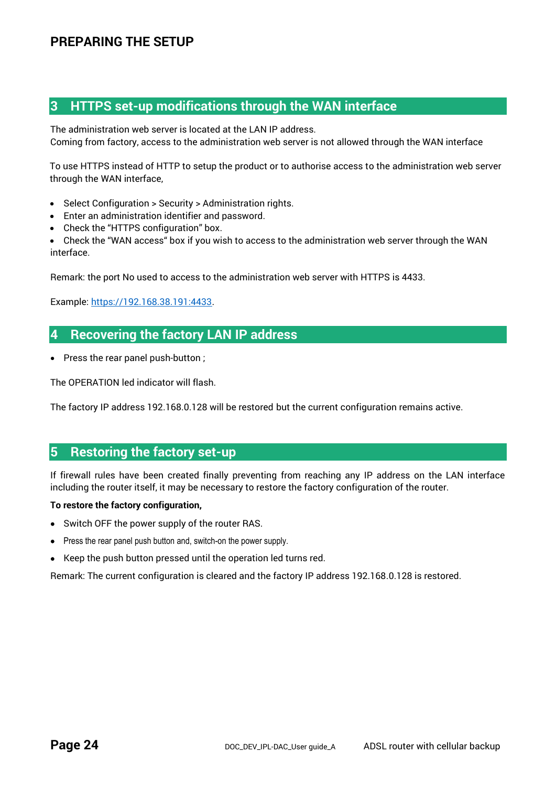### <span id="page-23-0"></span>**3 HTTPS set-up modifications through the WAN interface**

The administration web server is located at the LAN IP address.

Coming from factory, access to the administration web server is not allowed through the WAN interface

To use HTTPS instead of HTTP to setup the product or to authorise access to the administration web server through the WAN interface,

- Select Configuration > Security > Administration rights.
- Enter an administration identifier and password.
- Check the "HTTPS configuration" box.

 Check the "WAN access" box if you wish to access to the administration web server through the WAN interface.

Remark: the port No used to access to the administration web server with HTTPS is 4433.

Example: [https://192.168.38.191:4433.](https://192.168.38.191:4433/)

### <span id="page-23-1"></span>**4 Recovering the factory LAN IP address**

• Press the rear panel push-button ;

The OPERATION led indicator will flash.

The factory IP address 192.168.0.128 will be restored but the current configuration remains active.

### <span id="page-23-2"></span>**5 Restoring the factory set-up**

If firewall rules have been created finally preventing from reaching any IP address on the LAN interface including the router itself, it may be necessary to restore the factory configuration of the router.

#### **To restore the factory configuration,**

- Switch OFF the power supply of the router RAS.
- Press the rear panel push button and, switch-on the power supply.
- Keep the push button pressed until the operation led turns red.

Remark: The current configuration is cleared and the factory IP address 192.168.0.128 is restored.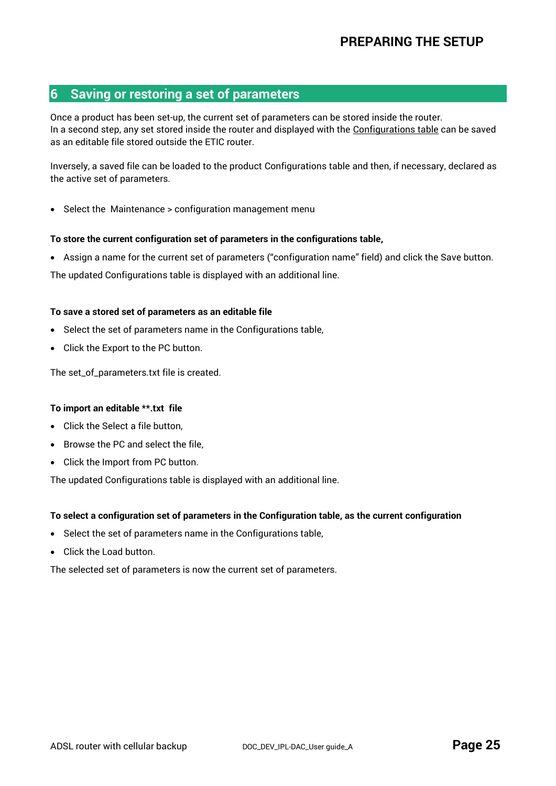### <span id="page-24-0"></span>**6 Saving or restoring a set of parameters**

Once a product has been set-up, the current set of parameters can be stored inside the router. In a second step, any set stored inside the router and displayed with the Configurations table can be saved as an editable file stored outside the ETIC router.

Inversely, a saved file can be loaded to the product Configurations table and then, if necessary, declared as the active set of parameters.

Select the Maintenance > configuration management menu

#### **To store the current configuration set of parameters in the configurations table,**

Assign a name for the current set of parameters ("configuration name" field) and click the Save button.

The updated Configurations table is displayed with an additional line.

#### **To save a stored set of parameters as an editable file**

- Select the set of parameters name in the Configurations table,
- Click the Export to the PC button.

The set\_of\_parameters.txt file is created.

#### **To import an editable \*\*.txt file**

- Click the Select a file button.
- Browse the PC and select the file,
- Click the Import from PC button.

The updated Configurations table is displayed with an additional line.

#### **To select a configuration set of parameters in the Configuration table, as the current configuration**

- Select the set of parameters name in the Configurations table,
- Click the Load button.

The selected set of parameters is now the current set of parameters.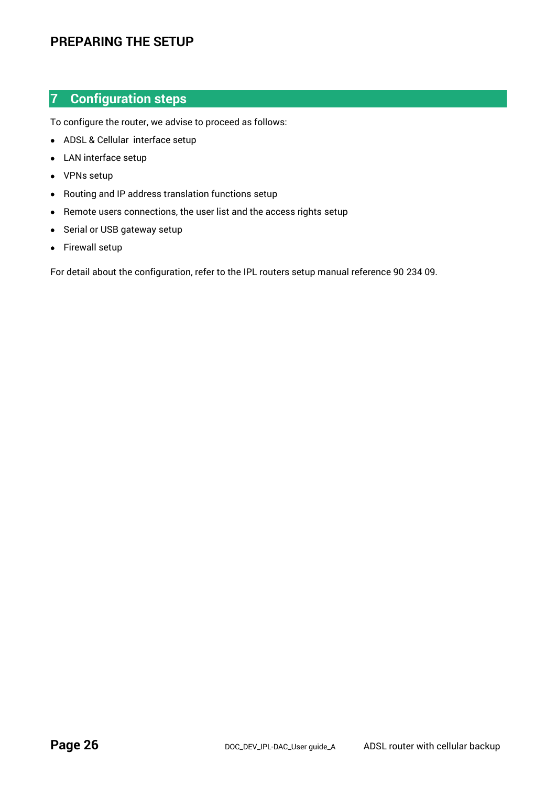## **PREPARING THE SETUP**

## <span id="page-25-0"></span>**7 Configuration steps**

To configure the router, we advise to proceed as follows:

- ADSL & Cellular interface setup
- LAN interface setup
- VPNs setup
- Routing and IP address translation functions setup
- Remote users connections, the user list and the access rights setup
- Serial or USB gateway setup
- Firewall setup

For detail about the configuration, refer to the IPL routers setup manual reference 90 234 09.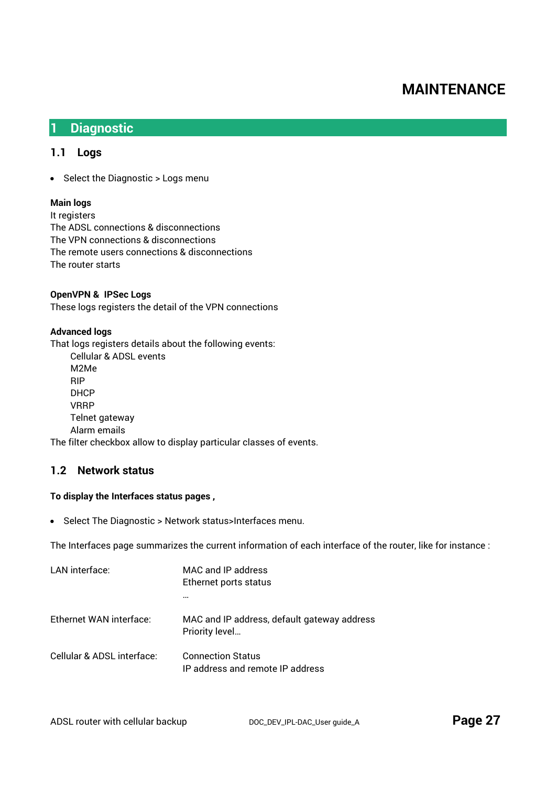# **MAINTENANCE**

### <span id="page-26-1"></span><span id="page-26-0"></span>**1 Diagnostic**

#### <span id="page-26-2"></span>**1.1 Logs**

• Select the Diagnostic > Logs menu

#### **Main logs**

It registers The ADSL connections & disconnections The VPN connections & disconnections The remote users connections & disconnections The router starts

**OpenVPN & IPSec Logs** These logs registers the detail of the VPN connections

#### **Advanced logs**

That logs registers details about the following events:

Cellular & ADSL events M2Me RIP DHCP VRRP Telnet gateway Alarm emails The filter checkbox allow to display particular classes of events.

### <span id="page-26-3"></span>**1.2 Network status**

#### **To display the Interfaces status pages ,**

Select The Diagnostic > Network status>Interfaces menu.

The Interfaces page summarizes the current information of each interface of the router, like for instance :

| LAN interface:             | MAC and IP address<br>Ethernet ports status                   |
|----------------------------|---------------------------------------------------------------|
|                            |                                                               |
| Ethernet WAN interface:    | MAC and IP address, default gateway address<br>Priority level |
| Cellular & ADSL interface: | <b>Connection Status</b><br>IP address and remote IP address  |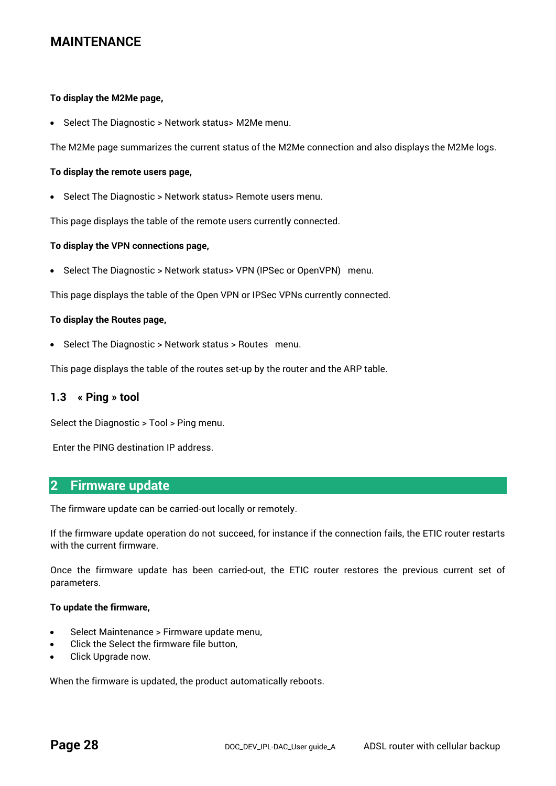### **MAINTENANCE**

#### **To display the M2Me page,**

Select The Diagnostic > Network status> M2Me menu.

The M2Me page summarizes the current status of the M2Me connection and also displays the M2Me logs.

#### **To display the remote users page,**

Select The Diagnostic > Network status> Remote users menu.

This page displays the table of the remote users currently connected.

#### **To display the VPN connections page,**

• Select The Diagnostic > Network status> VPN (IPSec or OpenVPN) menu.

This page displays the table of the Open VPN or IPSec VPNs currently connected.

#### **To display the Routes page,**

• Select The Diagnostic > Network status > Routes menu.

This page displays the table of the routes set-up by the router and the ARP table.

#### <span id="page-27-0"></span>**1.3 « Ping » tool**

Select the Diagnostic > Tool > Ping menu.

Enter the PING destination IP address.

### <span id="page-27-1"></span>**2 Firmware update**

The firmware update can be carried-out locally or remotely.

If the firmware update operation do not succeed, for instance if the connection fails, the ETIC router restarts with the current firmware.

Once the firmware update has been carried-out, the ETIC router restores the previous current set of parameters.

#### **To update the firmware,**

- Select Maintenance > Firmware update menu,
- Click the Select the firmware file button,
- Click Upgrade now.

When the firmware is updated, the product automatically reboots.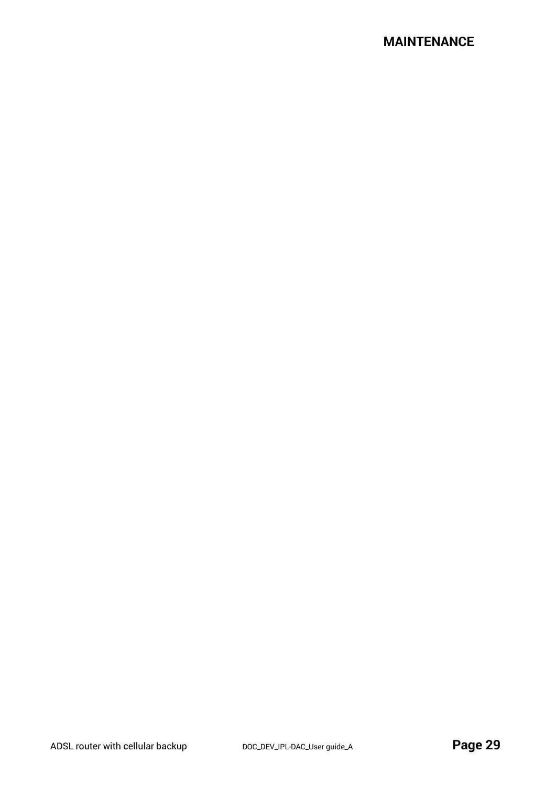## **MAINTENANCE**